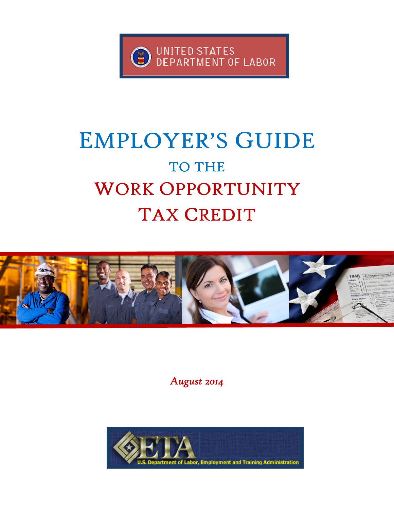

## EMPLOYER'S GUIDE TO THE WORK OPPORTUNITY TAX CREDIT



August 2014

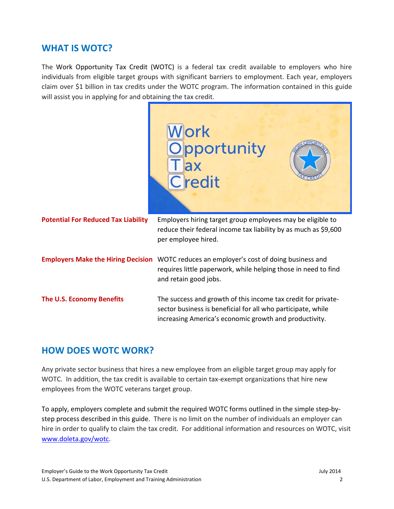#### WHAT IS WOTC?

The Work Opportunity Tax Credit (WOTC) is a federal tax credit available to employers who hire individuals from eligible target groups with significant barriers to employment. Each year, employers claim over \$1 billion in tax credits under the WOTC program. The information contained in this guide will assist you in applying for and obtaining the tax credit.



#### HOW DOES WOTC WORK?

Any private sector business that hires a new employee from an eligible target group may apply for WOTC. In addition, the tax credit is available to certain tax-exempt organizations that hire new employees from the WOTC veterans target group.

To apply, employers complete and submit the required WOTC forms outlined in the simple step-bystep process described in this guide. There is no limit on the number of individuals an employer can hire in order to qualify to claim the tax credit. For additional information and resources on WOTC, visit www.doleta.gov/wotc.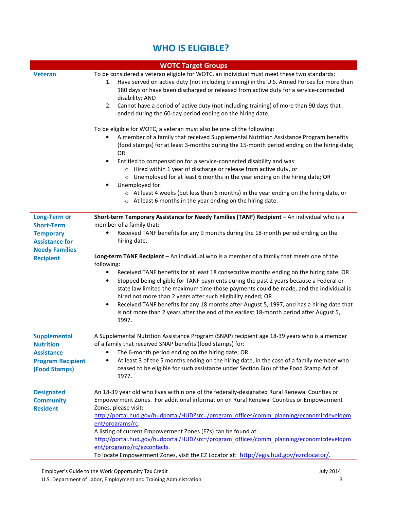#### WHO IS ELIGIBLE?

| <b>WOTC Target Groups</b>                                                                                                          |                                                                                                                                                                                                                                                                                                                                                                                                                                                                                                                                                                                                                                                                                                                                                                                                                                                                                                                                                                                                                                                                                                                                                                     |  |  |
|------------------------------------------------------------------------------------------------------------------------------------|---------------------------------------------------------------------------------------------------------------------------------------------------------------------------------------------------------------------------------------------------------------------------------------------------------------------------------------------------------------------------------------------------------------------------------------------------------------------------------------------------------------------------------------------------------------------------------------------------------------------------------------------------------------------------------------------------------------------------------------------------------------------------------------------------------------------------------------------------------------------------------------------------------------------------------------------------------------------------------------------------------------------------------------------------------------------------------------------------------------------------------------------------------------------|--|--|
| <b>Veteran</b>                                                                                                                     | To be considered a veteran eligible for WOTC, an individual must meet these two standards:<br>1. Have served on active duty (not including training) in the U.S. Armed Forces for more than<br>180 days or have been discharged or released from active duty for a service-connected<br>disability; AND<br>Cannot have a period of active duty (not including training) of more than 90 days that<br>2.<br>ended during the 60-day period ending on the hiring date.<br>To be eligible for WOTC, a veteran must also be one of the following:<br>A member of a family that received Supplemental Nutrition Assistance Program benefits<br>(food stamps) for at least 3-months during the 15-month period ending on the hiring date;<br><b>OR</b><br>Entitled to compensation for a service-connected disability and was:<br>٠<br>o Hired within 1 year of discharge or release from active duty, or<br>o Unemployed for at least 6 months in the year ending on the hiring date; OR<br>Unemployed for:<br>$\circ$ At least 4 weeks (but less than 6 months) in the year ending on the hiring date, or<br>o At least 6 months in the year ending on the hiring date. |  |  |
| <b>Long-Term or</b><br><b>Short-Term</b><br><b>Temporary</b><br><b>Assistance for</b><br><b>Needy Families</b><br><b>Recipient</b> | Short-term Temporary Assistance for Needy Families (TANF) Recipient - An individual who is a<br>member of a family that:<br>Received TANF benefits for any 9 months during the 18-month period ending on the<br>٠<br>hiring date.<br>Long-term TANF Recipient - An individual who is a member of a family that meets one of the<br>following:<br>Received TANF benefits for at least 18 consecutive months ending on the hiring date; OR<br>٠<br>Stopped being eligible for TANF payments during the past 2 years because a Federal or<br>$\bullet$<br>state law limited the maximum time those payments could be made, and the individual is<br>hired not more than 2 years after such eligibility ended; OR<br>Received TANF benefits for any 18 months after August 5, 1997, and has a hiring date that<br>$\bullet$<br>is not more than 2 years after the end of the earliest 18-month period after August 5,<br>1997.                                                                                                                                                                                                                                          |  |  |
| <b>Supplemental</b><br><b>Nutrition</b><br><b>Assistance</b><br><b>Program Recipient</b><br>(Food Stamps)                          | A Supplemental Nutrition Assistance Program (SNAP) recipient age 18-39 years who is a member<br>of a family that received SNAP benefits (food stamps) for:<br>The 6-month period ending on the hiring date; OR<br>At least 3 of the 5 months ending on the hiring date, in the case of a family member who<br>ceased to be eligible for such assistance under Section 6(o) of the Food Stamp Act of<br>1977.                                                                                                                                                                                                                                                                                                                                                                                                                                                                                                                                                                                                                                                                                                                                                        |  |  |
| <b>Designated</b><br><b>Community</b><br><b>Resident</b>                                                                           | An 18-39 year old who lives within one of the federally-designated Rural Renewal Counties or<br>Empowerment Zones. For additional information on Rural Renewal Counties or Empowerment<br>Zones, please visit:<br>http://portal.hud.gov/hudportal/HUD?src=/program_offices/comm_planning/economicdevelopm<br>ent/programs/rc.<br>A listing of current Empowerment Zones (EZs) can be found at:<br>http://portal.hud.gov/hudportal/HUD?src=/program_offices/comm_planning/economicdevelopm<br>ent/programs/rc/ezcontacts.<br>To locate Empowerment Zones, visit the EZ Locator at: http://egis.hud.gov/ezrclocator/.                                                                                                                                                                                                                                                                                                                                                                                                                                                                                                                                                 |  |  |

U.S. Department of Labor, Employment and Training Administration 3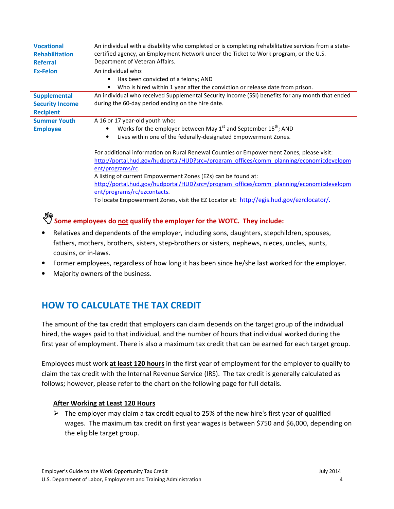| <b>Vocational</b>      | An individual with a disability who completed or is completing rehabilitative services from a state-                                                                                                    |  |
|------------------------|---------------------------------------------------------------------------------------------------------------------------------------------------------------------------------------------------------|--|
| <b>Rehabilitation</b>  | certified agency, an Employment Network under the Ticket to Work program, or the U.S.                                                                                                                   |  |
| <b>Referral</b>        | Department of Veteran Affairs.                                                                                                                                                                          |  |
| <b>Ex-Felon</b>        | An individual who:                                                                                                                                                                                      |  |
|                        | Has been convicted of a felony; AND                                                                                                                                                                     |  |
|                        | Who is hired within 1 year after the conviction or release date from prison.                                                                                                                            |  |
| <b>Supplemental</b>    | An individual who received Supplemental Security Income (SSI) benefits for any month that ended                                                                                                         |  |
| <b>Security Income</b> | during the 60-day period ending on the hire date.                                                                                                                                                       |  |
| <b>Recipient</b>       |                                                                                                                                                                                                         |  |
| <b>Summer Youth</b>    | A 16 or 17 year-old youth who:                                                                                                                                                                          |  |
| <b>Employee</b>        | Works for the employer between May $1^{st}$ and September $15^{th}$ ; AND                                                                                                                               |  |
|                        | Lives within one of the federally-designated Empowerment Zones.<br>$\bullet$                                                                                                                            |  |
|                        | For additional information on Rural Renewal Counties or Empowerment Zones, please visit:<br>http://portal.hud.gov/hudportal/HUD?src=/program_offices/comm_planning/economicdevelopm<br>ent/programs/rc. |  |
|                        | A listing of current Empowerment Zones (EZs) can be found at:                                                                                                                                           |  |
|                        | http://portal.hud.gov/hudportal/HUD?src=/program_offices/comm_planning/economicdevelopm                                                                                                                 |  |
|                        | ent/programs/rc/ezcontacts                                                                                                                                                                              |  |
|                        | To locate Empowerment Zones, visit the EZ Locator at: http://egis.hud.gov/ezrclocator/.                                                                                                                 |  |
|                        |                                                                                                                                                                                                         |  |

### *W*<br>Some employees do not qualify the employer for the WOTC. They include:

- Relatives and dependents of the employer, including sons, daughters, stepchildren, spouses, fathers, mothers, brothers, sisters, step-brothers or sisters, nephews, nieces, uncles, aunts, cousins, or in-laws.
- Former employees, regardless of how long it has been since he/she last worked for the employer.
- Majority owners of the business.

#### HOW TO CALCULATE THE TAX CREDIT

The amount of the tax credit that employers can claim depends on the target group of the individual hired, the wages paid to that individual, and the number of hours that individual worked during the first year of employment. There is also a maximum tax credit that can be earned for each target group.

Employees must work at least 120 hours in the first year of employment for the employer to qualify to claim the tax credit with the Internal Revenue Service (IRS). The tax credit is generally calculated as follows; however, please refer to the chart on the following page for full details.

#### After Working at Least 120 Hours

 $\triangleright$  The employer may claim a tax credit equal to 25% of the new hire's first year of qualified wages. The maximum tax credit on first year wages is between \$750 and \$6,000, depending on the eligible target group.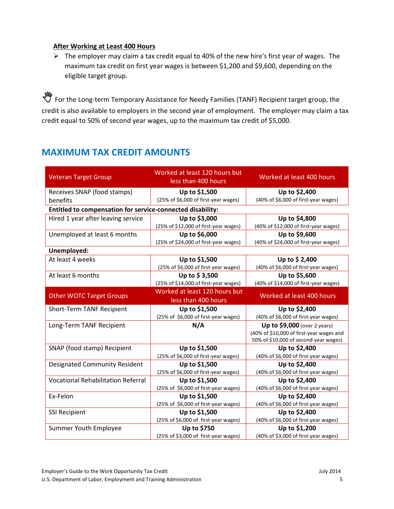#### After Working at Least 400 Hours

 $\triangleright$  The employer may claim a tax credit equal to 40% of the new hire's first year of wages. The maximum tax credit on first year wages is between \$1,200 and \$9,600, depending on the eligible target group.

**W**<br>Term the Long-term Temporary Assistance for Needy Families (TANF) Recipient target group, the credit is also available to employers in the second year of employment. The employer may claim a tax credit equal to 50% of second year wages, up to the maximum tax credit of \$5,000.

#### MAXIMUM TAX CREDIT AMOUNTS

| <b>Veteran Target Group</b>                                | Worked at least 120 hours but<br>less than 400 hours  | Worked at least 400 hours                             |
|------------------------------------------------------------|-------------------------------------------------------|-------------------------------------------------------|
| Receives SNAP (food stamps)                                | Up to \$1,500                                         | Up to \$2,400                                         |
| benefits                                                   | (25% of \$6,000 of first-year wages)                  | (40% of \$6,000 of first-year wages)                  |
| Entitled to compensation for service-connected disability: |                                                       |                                                       |
| Hired 1 year after leaving service                         | Up to \$3,000                                         | Up to \$4,800                                         |
|                                                            | (25% of \$12,000 of first-year wages)                 | (40% of \$12,000 of first-year wages)                 |
| Unemployed at least 6 months                               | Up to \$6,000                                         | Up to \$9,600                                         |
|                                                            | (25% of \$24,000 of first-year wages)                 | (40% of \$24,000 of first-year wages)                 |
| Unemployed:                                                |                                                       |                                                       |
| At least 4 weeks                                           | Up to \$1,500                                         | Up to \$2,400                                         |
|                                                            | (25% of \$6,000 of first-year wages)                  | (40% of \$6,000 of first-year wages)                  |
| At least 6 months                                          | Up to \$3,500                                         | Up to \$5,600                                         |
|                                                            | (25% of \$14,000 of first-year wages)                 | (40% of \$14,000 of first-year wages)                 |
| <b>Other WOTC Target Groups</b>                            | Worked at least 120 hours but<br>less than 400 hours  | Worked at least 400 hours                             |
|                                                            |                                                       |                                                       |
| Short-Term TANF Recipient                                  | Up to \$1,500                                         | Up to \$2,400                                         |
|                                                            | (25% of \$6,000 of first-year wages)                  | (40% of \$6,000 of first-year wages)                  |
| Long-Term TANF Recipient                                   | N/A                                                   | Up to $$9,000$ (over 2 years)                         |
|                                                            |                                                       | (40% of \$10,000 of first-year wages and              |
|                                                            |                                                       | 50% of \$10,000 of second-year wages)                 |
| SNAP (food stamp) Recipient                                | Up to \$1,500<br>(25% of \$6,000 of first-year wages) | Up to \$2,400<br>(40% of \$6,000 of first-year wages) |
| <b>Designated Community Resident</b>                       | Up to \$1,500                                         | Up to \$2,400                                         |
|                                                            | (25% of \$6,000 of first-year wages)                  | (40% of \$6,000 of first-year wages)                  |
| <b>Vocational Rehabilitation Referral</b>                  | Up to \$1,500                                         | Up to \$2,400                                         |
|                                                            | (25% of \$6,000 of first-year wages)                  | (40% of \$6,000 of first-year wages)                  |
| Ex-Felon                                                   | Up to \$1,500                                         | Up to \$2,400                                         |
|                                                            | (25% of \$6,000 of first-year wages)                  | (40% of \$6,000 of first-year wages)                  |
| <b>SSI Recipient</b>                                       | Up to \$1,500                                         | Up to \$2,400                                         |
|                                                            | (25% of \$6,000 of first-year wages)                  | (40% of \$6,000 of first-year wages)                  |
| Summer Youth Employee                                      | Up to \$750<br>(25% of \$3,000 of first-year wages)   | Up to \$1,200<br>(40% of \$3,000 of first-year wages) |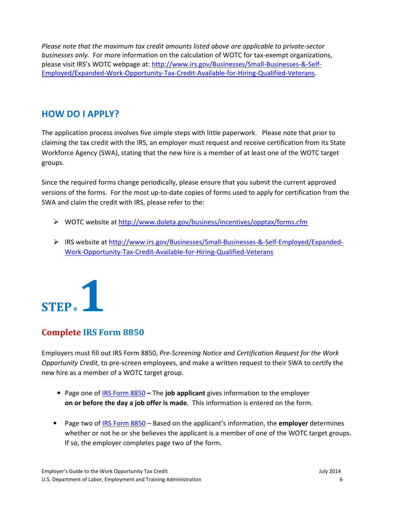Please note that the maximum tax credit amounts listed above are applicable to private-sector businesses only. For more information on the calculation of WOTC for tax-exempt organizations, please visit IRS's WOTC webpage at: http://www.irs.gov/Businesses/Small-Businesses-&-Self-Employed/Expanded-Work-Opportunity-Tax-Credit-Available-for-Hiring-Qualified-Veterans.

#### HOW DO I APPLY?

The application process involves five simple steps with little paperwork. Please note that prior to claiming the tax credit with the IRS, an employer must request and receive certification from its State Workforce Agency (SWA), stating that the new hire is a member of at least one of the WOTC target groups.

Since the required forms change periodically, please ensure that you submit the current approved versions of the forms. For the most up-to-date copies of forms used to apply for certification from the SWA and claim the credit with IRS, please refer to the:

- WOTC website at http://www.doleta.gov/business/incentives/opptax/forms.cfm
- IRS website at http://www.irs.gov/Businesses/Small-Businesses-&-Self-Employed/Expanded-Work-Opportunity-Tax-Credit-Available-for-Hiring-Qualified-Veterans



#### Complete IRS Form 8850

Employers must fill out IRS Form 8850, Pre-Screening Notice and Certification Request for the Work Opportunity Credit, to pre-screen employees, and make a written request to their SWA to certify the new hire as a member of a WOTC target group.

- Page one of IRS Form 8850 The **job applicant** gives information to the employer on or before the day a job offer is made. This information is entered on the form.
- Page two of IRS Form 8850 Based on the applicant's information, the employer determines whether or not he or she believes the applicant is a member of one of the WOTC target groups. If so, the employer completes page two of the form.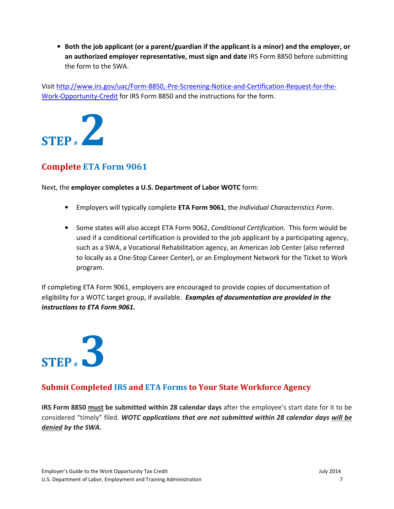• Both the job applicant (or a parent/guardian if the applicant is a minor) and the employer, or an authorized employer representative, must sign and date IRS Form 8850 before submitting the form to the SWA.

Visit http://www.irs.gov/uac/Form-8850,-Pre-Screening-Notice-and-Certification-Request-for-the-Work-Opportunity-Credit for IRS Form 8850 and the instructions for the form.



#### Complete ETA Form 9061

Next, the employer completes a U.S. Department of Labor WOTC form:

- Employers will typically complete ETA Form 9061, the Individual Characteristics Form.
- Some states will also accept ETA Form 9062, Conditional Certification. This form would be used if a conditional certification is provided to the job applicant by a participating agency, such as a SWA, a Vocational Rehabilitation agency, an American Job Center (also referred to locally as a One-Stop Career Center), or an Employment Network for the Ticket to Work program.

If completing ETA Form 9061, employers are encouraged to provide copies of documentation of eligibility for a WOTC target group, if available. Examples of documentation are provided in the instructions to ETA Form 9061.

# $STEP$ #

#### Submit Completed IRS and ETA Forms to Your State Workforce Agency

IRS Form 8850 must be submitted within 28 calendar days after the employee's start date for it to be considered "timely" filed. WOTC applications that are not submitted within 28 calendar days will be denied by the SWA.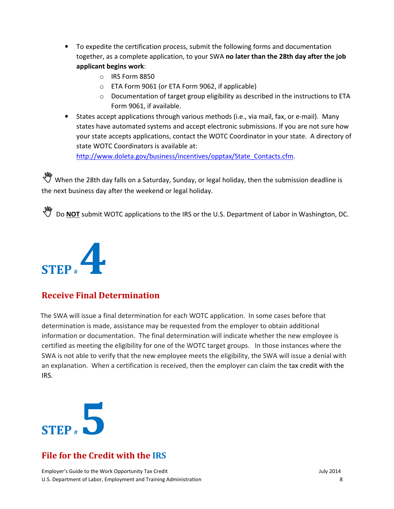- To expedite the certification process, submit the following forms and documentation together, as a complete application, to your SWA no later than the 28th day after the job applicant begins work:
	- o IRS Form 8850
	- o ETA Form 9061 (or ETA Form 9062, if applicable)
	- $\circ$  Documentation of target group eligibility as described in the instructions to ETA Form 9061, if available.
- States accept applications through various methods (i.e., via mail, fax, or e-mail). Many states have automated systems and accept electronic submissions. If you are not sure how your state accepts applications, contact the WOTC Coordinator in your state. A directory of state WOTC Coordinators is available at:

http://www.doleta.gov/business/incentives/opptax/State\_Contacts.cfm.

When the 28th day falls on a Saturday, Sunday, or legal holiday, then the submission deadline is the next business day after the weekend or legal holiday.

**W** Do **NOT** submit WOTC applications to the IRS or the U.S. Department of Labor in Washington, DC.



#### Receive Final Determination

 The SWA will issue a final determination for each WOTC application. In some cases before that determination is made, assistance may be requested from the employer to obtain additional information or documentation. The final determination will indicate whether the new employee is certified as meeting the eligibility for one of the WOTC target groups. In those instances where the SWA is not able to verify that the new employee meets the eligibility, the SWA will issue a denial with an explanation. When a certification is received, then the employer can claim the tax credit with the IRS.



#### File for the Credit with the IRS

Employer's Guide to the Work Opportunity Tax Credit July 2014 U.S. Department of Labor, Employment and Training Administration 8